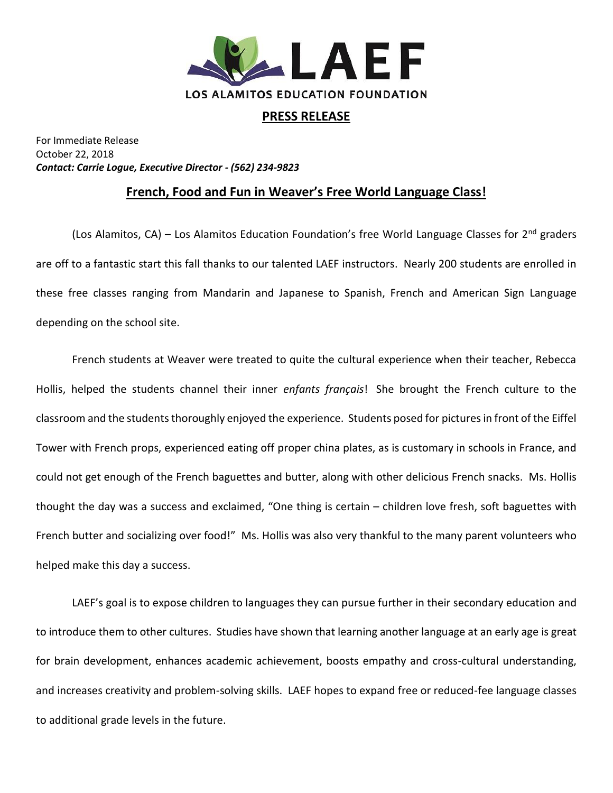

## **PRESS RELEASE**

For Immediate Release October 22, 2018 *Contact: Carrie Logue, Executive Director - (562) 234-9823*

## **French, Food and Fun in Weaver's Free World Language Class!**

(Los Alamitos, CA) – Los Alamitos Education Foundation's free World Language Classes for  $2<sup>nd</sup>$  graders are off to a fantastic start this fall thanks to our talented LAEF instructors. Nearly 200 students are enrolled in these free classes ranging from Mandarin and Japanese to Spanish, French and American Sign Language depending on the school site.

French students at Weaver were treated to quite the cultural experience when their teacher, Rebecca Hollis, helped the students channel their inner *enfants français*! She brought the French culture to the classroom and the students thoroughly enjoyed the experience. Students posed for pictures in front of the Eiffel Tower with French props, experienced eating off proper china plates, as is customary in schools in France, and could not get enough of the French baguettes and butter, along with other delicious French snacks. Ms. Hollis thought the day was a success and exclaimed, "One thing is certain – children love fresh, soft baguettes with French butter and socializing over food!" Ms. Hollis was also very thankful to the many parent volunteers who helped make this day a success.

LAEF's goal is to expose children to languages they can pursue further in their secondary education and to introduce them to other cultures. Studies have shown that learning another language at an early age is great for brain development, enhances academic achievement, boosts empathy and cross-cultural understanding, and increases creativity and problem-solving skills. LAEF hopes to expand free or reduced-fee language classes to additional grade levels in the future.